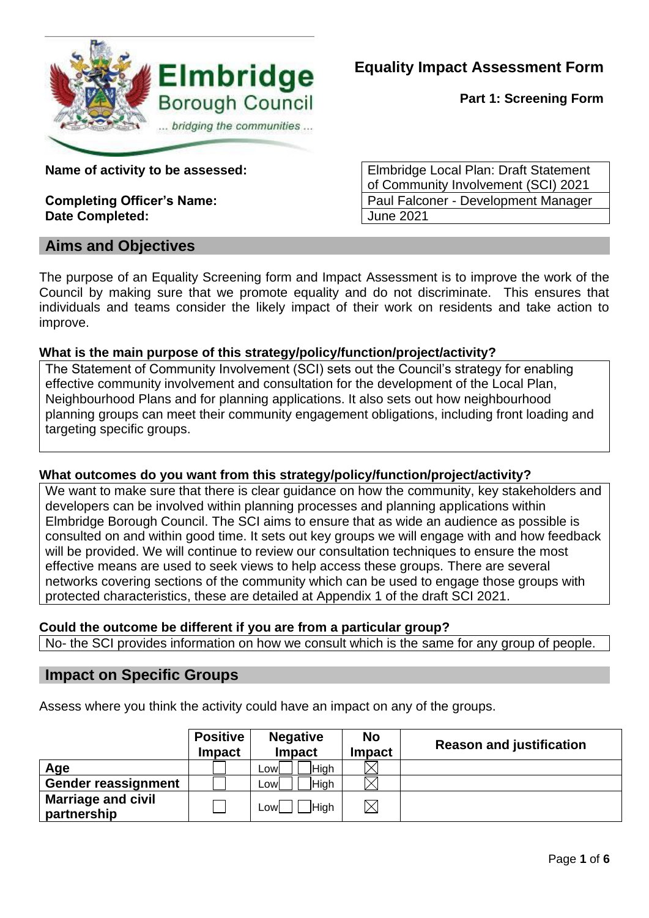

**Part 1: Screening Form**

**Date Completed:**  $\vert$  June 2021

# **Aims and Objectives**

**Name of activity to be assessed:** Elmbridge Local Plan: Draft Statement of Community Involvement (SCI) 2021 **Completing Officer's Name:** Paul Falconer - Development Manager

The purpose of an Equality Screening form and Impact Assessment is to improve the work of the Council by making sure that we promote equality and do not discriminate. This ensures that individuals and teams consider the likely impact of their work on residents and take action to improve.

## **What is the main purpose of this strategy/policy/function/project/activity?**

The Statement of Community Involvement (SCI) sets out the Council's strategy for enabling effective community involvement and consultation for the development of the Local Plan, Neighbourhood Plans and for planning applications. It also sets out how neighbourhood planning groups can meet their community engagement obligations, including front loading and targeting specific groups.

## **What outcomes do you want from this strategy/policy/function/project/activity?**

We want to make sure that there is clear guidance on how the community, key stakeholders and developers can be involved within planning processes and planning applications within Elmbridge Borough Council. The SCI aims to ensure that as wide an audience as possible is consulted on and within good time. It sets out key groups we will engage with and how feedback will be provided. We will continue to review our consultation techniques to ensure the most effective means are used to seek views to help access these groups. There are several networks covering sections of the community which can be used to engage those groups with protected characteristics, these are detailed at Appendix 1 of the draft SCI 2021.

## **Could the outcome be different if you are from a particular group?**

No- the SCI provides information on how we consult which is the same for any group of people.

## **Impact on Specific Groups**

Assess where you think the activity could have an impact on any of the groups.

|                                          | <b>Positive</b><br><b>Impact</b> | <b>Negative</b><br><b>Impact</b> | <b>No</b><br><b>Impact</b> | <b>Reason and justification</b> |
|------------------------------------------|----------------------------------|----------------------------------|----------------------------|---------------------------------|
| Age                                      |                                  | <b>High</b><br>∟owl              |                            |                                 |
| <b>Gender reassignment</b>               |                                  | <b>High</b><br>∟owl              |                            |                                 |
| <b>Marriage and civil</b><br>partnership |                                  | <b>High</b><br>Lowl              | $\boxtimes$                |                                 |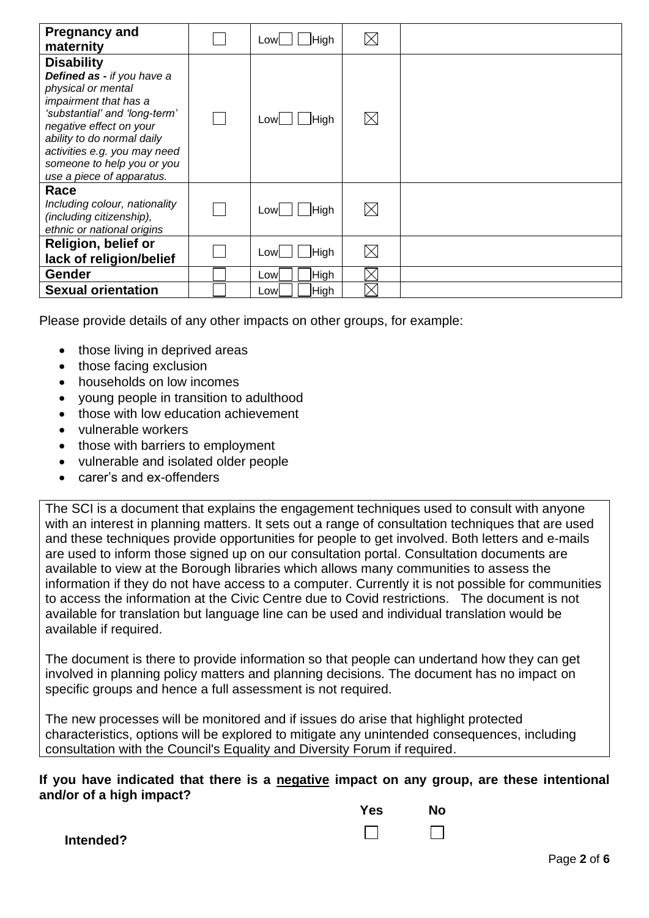| <b>Pregnancy and</b><br>maternity                                                                                                                                                                                                                                                   | High<br>Lowl       | $\boxtimes$ |  |
|-------------------------------------------------------------------------------------------------------------------------------------------------------------------------------------------------------------------------------------------------------------------------------------|--------------------|-------------|--|
| <b>Disability</b><br>Defined as - if you have a<br>physical or mental<br>impairment that has a<br>'substantial' and 'long-term'<br>negative effect on your<br>ability to do normal daily<br>activities e.g. you may need<br>someone to help you or you<br>use a piece of apparatus. | High<br>Lowl       | $\boxtimes$ |  |
| Race<br>Including colour, nationality<br>(including citizenship),<br>ethnic or national origins                                                                                                                                                                                     | $Low$ $  $ High    | $\boxtimes$ |  |
| <b>Religion, belief or</b><br>lack of religion/belief                                                                                                                                                                                                                               | <b>High</b><br>Low | $\boxtimes$ |  |
| <b>Gender</b>                                                                                                                                                                                                                                                                       | High<br>Lowl       | $\boxtimes$ |  |
| <b>Sexual orientation</b>                                                                                                                                                                                                                                                           | High<br>Lowl       | $\times$    |  |

Please provide details of any other impacts on other groups, for example:

- those living in deprived areas
- those facing exclusion
- households on low incomes
- young people in transition to adulthood
- those with low education achievement
- vulnerable workers
- those with barriers to employment
- vulnerable and isolated older people
- carer's and ex-offenders

The SCI is a document that explains the engagement techniques used to consult with anyone with an interest in planning matters. It sets out a range of consultation techniques that are used and these techniques provide opportunities for people to get involved. Both letters and e-mails are used to inform those signed up on our consultation portal. Consultation documents are available to view at the Borough libraries which allows many communities to assess the information if they do not have access to a computer. Currently it is not possible for communities to access the information at the Civic Centre due to Covid restrictions. The document is not available for translation but language line can be used and individual translation would be available if required.

The document is there to provide information so that people can undertand how they can get involved in planning policy matters and planning decisions. The document has no impact on specific groups and hence a full assessment is not required.

The new processes will be monitored and if issues do arise that highlight protected characteristics, options will be explored to mitigate any unintended consequences, including consultation with the Council's Equality and Diversity Forum if required.

#### **If you have indicated that there is a negative impact on any group, are these intentional and/or of a high impact?**

| <b>Yes</b> | <b>No</b> |
|------------|-----------|
|            |           |

**Intended?**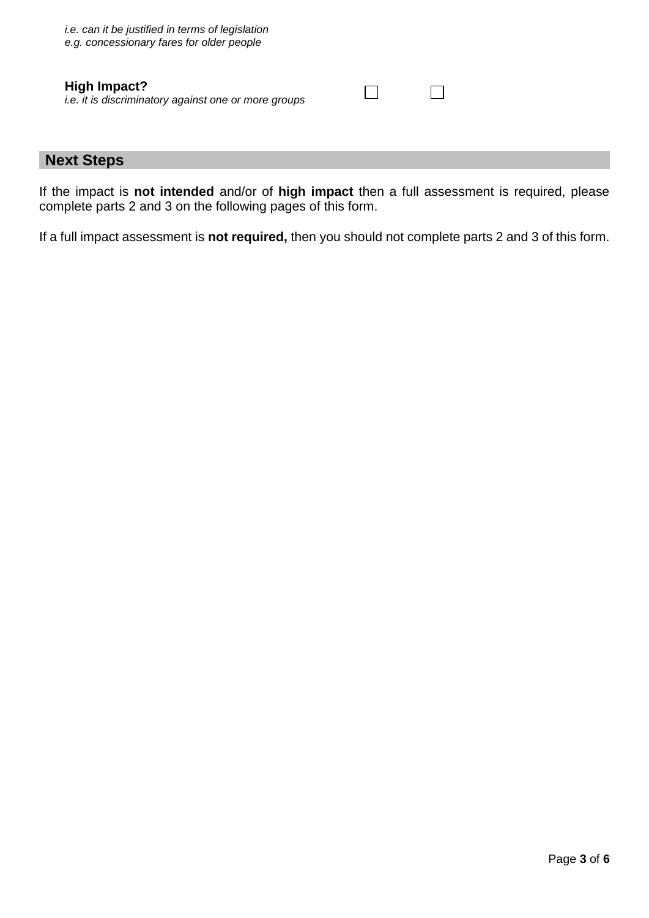#### **High Impact?** *i.e. it is discriminatory against one or more groups*

## **Next Steps**

If the impact is **not intended** and/or of **high impact** then a full assessment is required, please complete parts 2 and 3 on the following pages of this form.

 $\Box$ 

 $\Box$ 

If a full impact assessment is **not required,** then you should not complete parts 2 and 3 of this form.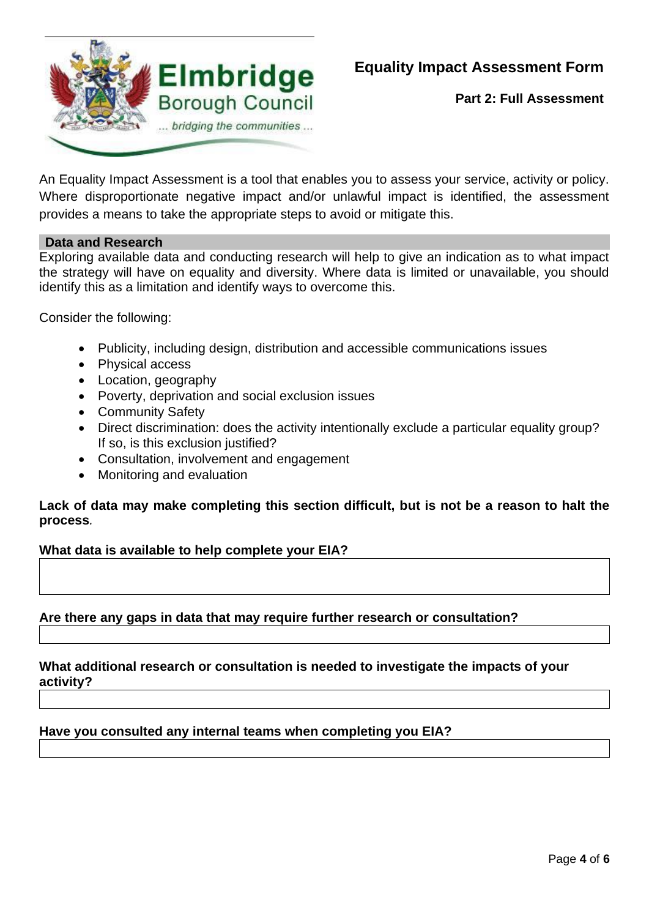

**Part 2: Full Assessment**

An Equality Impact Assessment is a tool that enables you to assess your service, activity or policy. Where disproportionate negative impact and/or unlawful impact is identified, the assessment provides a means to take the appropriate steps to avoid or mitigate this.

### **Data and Research**

Exploring available data and conducting research will help to give an indication as to what impact the strategy will have on equality and diversity. Where data is limited or unavailable, you should identify this as a limitation and identify ways to overcome this.

Consider the following:

- Publicity, including design, distribution and accessible communications issues
- Physical access
- Location, geography
- Poverty, deprivation and social exclusion issues
- Community Safety
- Direct discrimination: does the activity intentionally exclude a particular equality group? If so, is this exclusion justified?
- Consultation, involvement and engagement
- Monitoring and evaluation

### **Lack of data may make completing this section difficult, but is not be a reason to halt the process***.*

#### **What data is available to help complete your EIA?**

### **Are there any gaps in data that may require further research or consultation?**

#### **What additional research or consultation is needed to investigate the impacts of your activity?**

#### **Have you consulted any internal teams when completing you EIA?**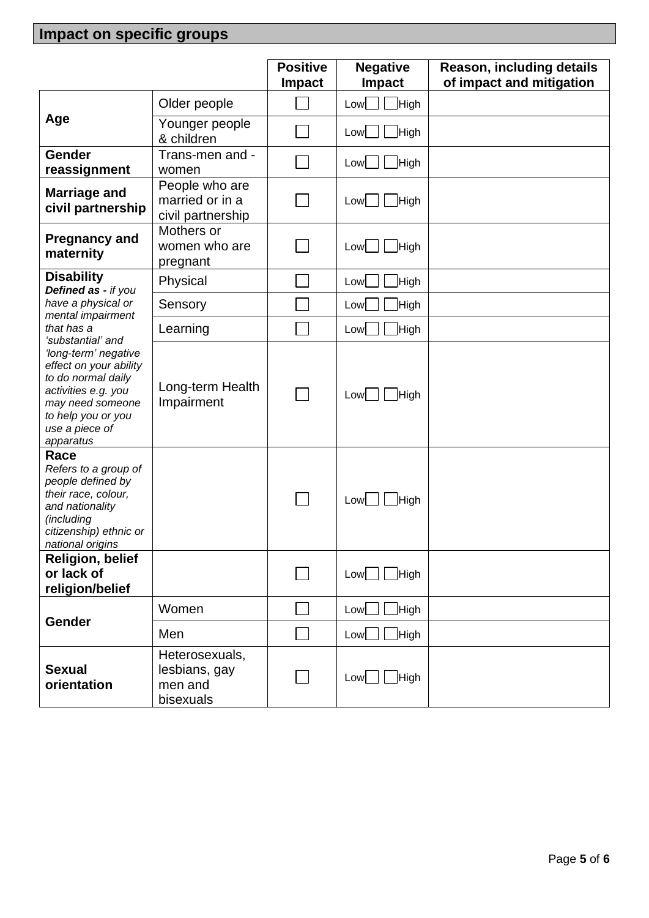# **Impact on specific groups**

|                                                                                                                                                                                           |                                                         | <b>Positive</b><br><b>Impact</b> | <b>Negative</b><br><b>Impact</b> | Reason, including details<br>of impact and mitigation |
|-------------------------------------------------------------------------------------------------------------------------------------------------------------------------------------------|---------------------------------------------------------|----------------------------------|----------------------------------|-------------------------------------------------------|
| Age                                                                                                                                                                                       | Older people                                            |                                  | High<br>Low                      |                                                       |
|                                                                                                                                                                                           | Younger people<br>& children                            |                                  | High<br>$Low$                    |                                                       |
| <b>Gender</b><br>reassignment                                                                                                                                                             | Trans-men and -<br>women                                |                                  | High<br>Low                      |                                                       |
| <b>Marriage and</b><br>civil partnership                                                                                                                                                  | People who are<br>married or in a<br>civil partnership  |                                  | High<br>$Low$                    |                                                       |
| <b>Pregnancy and</b><br>maternity                                                                                                                                                         | Mothers or<br>women who are<br>pregnant                 |                                  | High<br>$Low$                    |                                                       |
| <b>Disability</b><br>Defined as - if you                                                                                                                                                  | Physical                                                |                                  | High<br>Low                      |                                                       |
| have a physical or                                                                                                                                                                        | Sensory                                                 |                                  | High<br>Low                      |                                                       |
| mental impairment<br>that has a                                                                                                                                                           | Learning                                                |                                  | High<br>Low                      |                                                       |
| 'substantial' and<br>'long-term' negative<br>effect on your ability<br>to do normal daily<br>activities e.g. you<br>may need someone<br>to help you or you<br>use a piece of<br>apparatus | Long-term Health<br>Impairment                          |                                  | High<br>Low                      |                                                       |
| Race<br>Refers to a group of<br>people defined by<br>their race, colour,<br>and nationality<br>(including<br>citizenship) ethnic or<br>national origins                                   |                                                         |                                  | High<br>Low                      |                                                       |
| <b>Religion, belief</b><br>or lack of<br>religion/belief                                                                                                                                  |                                                         |                                  | High<br>$Low$ $\Box$             |                                                       |
| Gender                                                                                                                                                                                    | Women                                                   |                                  | High<br>$Low$                    |                                                       |
|                                                                                                                                                                                           | Men                                                     |                                  | High<br>$Low$                    |                                                       |
| <b>Sexual</b><br>orientation                                                                                                                                                              | Heterosexuals,<br>lesbians, gay<br>men and<br>bisexuals |                                  | High<br>Low                      |                                                       |